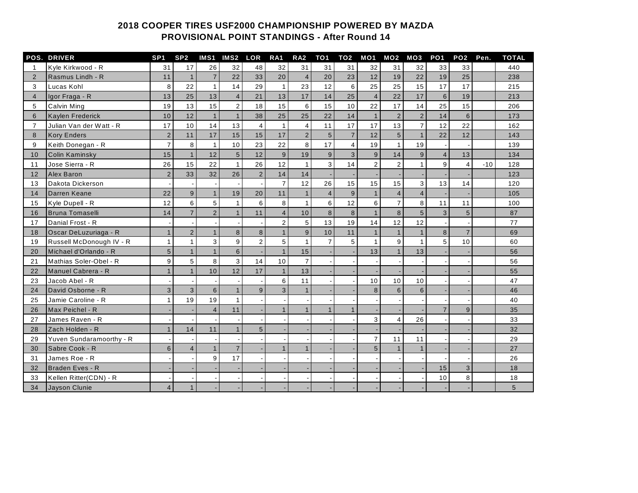## **COOPER TIRES USF2000 CHAMPIONSHIP POWERED BY MAZDA PROVISIONAL POINT STANDINGS - After Round 14**

|                | <b>POS. DRIVER</b>       | SP <sub>1</sub> | SP <sub>2</sub> | IMS1                    | IMS <sub>2</sub> | LOR            | RA <sub>1</sub>  | RA <sub>2</sub> | TO <sub>1</sub> | TO2            | MO1            | MO <sub>2</sub> | MO3            | PO <sub>1</sub> | PO <sub>2</sub> | Pen.  | <b>TOTAL</b> |
|----------------|--------------------------|-----------------|-----------------|-------------------------|------------------|----------------|------------------|-----------------|-----------------|----------------|----------------|-----------------|----------------|-----------------|-----------------|-------|--------------|
|                | Kyle Kirkwood - R        | 31              | 17              | 26                      | 32               | 48             | 32               | 31              | 31              | 31             | 32             | 31              | 32             | 33              | 33              |       | 440          |
| $\overline{2}$ | Rasmus Lindh - R         | 11              | $\overline{1}$  | $\overline{7}$          | 22               | 33             | 20               | $\overline{4}$  | 20              | 23             | 12             | 19              | 22             | 19              | 25              |       | 238          |
| 3              | Lucas Kohl               | 8               | 22              | $\mathbf{1}$            | 14               | 29             | $\mathbf{1}$     | 23              | 12              | 6              | 25             | 25              | 15             | 17              | 17              |       | 215          |
| $\overline{4}$ | Igor Fraga - R           | 13              | 25              | 13                      | $\overline{4}$   | 21             | 13               | 17              | 14              | 25             | $\overline{4}$ | 22              | 17             | $6\overline{6}$ | 19              |       | 213          |
| 5              | <b>Calvin Ming</b>       | 19              | 13              | 15                      | $\overline{2}$   | 18             | 15               | 6               | 15              | 10             | 22             | 17              | 14             | 25              | 15              |       | 206          |
| 6              | Kaylen Frederick         | 10              | 12              |                         | $\mathbf{1}$     | 38             | 25               | 25              | 22              | 14             | $\mathbf{1}$   | $\overline{2}$  | $\overline{2}$ | 14              | $6\overline{6}$ |       | 173          |
| $\overline{7}$ | Julian Van der Watt - R  | 17              | 10              | 14                      | 13               | $\overline{4}$ | $\mathbf{1}$     | 4               | 11              | 17             | 17             | 13              | $\overline{7}$ | 12              | 22              |       | 162          |
| 8              | <b>Kory Enders</b>       | $\overline{2}$  | 11              | 17                      | 15               | 15             | 17               | $\overline{2}$  | 5               | $\overline{7}$ | 12             | 5               | $\mathbf{1}$   | 22              | 12              |       | 143          |
| 9              | Keith Donegan - R        | $\overline{7}$  | 8               | $\mathbf{1}$            | 10               | 23             | 22               | 8               | 17              | $\overline{4}$ | 19             | $\mathbf{1}$    | 19             |                 |                 |       | 139          |
| 10             | Colin Kaminsky           | 15              | $\overline{1}$  | 12                      | $\sqrt{5}$       | 12             | $\boldsymbol{9}$ | 19              | 9               | 3              | 9              | 14              | 9              | $\overline{4}$  | 13              |       | 134          |
| 11             | Jose Sierra - R          | 26              | 15              | 22                      | $\mathbf{1}$     | 26             | 12               | $\mathbf{1}$    | 3               | 14             | $\overline{2}$ | $\overline{2}$  | 1              | 9               | $\overline{4}$  | $-10$ | 128          |
| 12             | <b>Alex Baron</b>        | $\overline{2}$  | 33              | 32                      | 26               | $\overline{2}$ | 14               | 14              |                 |                |                |                 |                |                 |                 |       | 123          |
| 13             | Dakota Dickerson         |                 |                 |                         |                  |                | $\overline{7}$   | 12              | 26              | 15             | 15             | 15              | 3              | 13              | 14              |       | 120          |
| 14             | Darren Keane             | 22              | 9               | $\mathbf{1}$            | 19               | 20             | 11               | $\overline{1}$  | $\overline{4}$  | 9              | $\mathbf{1}$   | $\overline{4}$  | $\overline{4}$ |                 |                 |       | 105          |
| 15             | Kyle Dupell - R          | 12              | 6               | 5                       | $\mathbf{1}$     | 6              | 8                | $\mathbf{1}$    | 6               | 12             | 6              | $\overline{7}$  | 8              | 11              | 11              |       | 100          |
| 16             | Bruna Tomaselli          | 14              | $\overline{7}$  | $\overline{2}$          | $\mathbf{1}$     | 11             | $\overline{4}$   | 10              | 8               | 8              | $\mathbf{1}$   | 8               | 5              | 3               | 5               |       | 87           |
| 17             | Danial Frost - R         |                 |                 |                         |                  |                | $\overline{2}$   | 5               | 13              | 19             | 14             | 12              | 12             |                 |                 |       | 77           |
| 18             | Oscar DeLuzuriaga - R    | $\mathbf{1}$    | $\overline{2}$  | $\mathbf{1}$            | 8                | 8              | $\mathbf{1}$     | 9               | 10              | 11             | $\mathbf{1}$   | $\mathbf{1}$    | $\mathbf{1}$   | 8 <sup>1</sup>  | $\overline{7}$  |       | 69           |
| 19             | Russell McDonough IV - R | $\mathbf{1}$    | $\mathbf{1}$    | 3                       | 9                | $\overline{2}$ | 5 <sup>1</sup>   | $\mathbf{1}$    | $\overline{7}$  | 5              | $\mathbf{1}$   | 9               | $\mathbf{1}$   | 5               | 10              |       | 60           |
| 20             | Michael d'Orlando - R    | $5\overline{)}$ | $\mathbf{1}$    |                         | 6                |                | $\mathbf{1}$     | 15              |                 |                | 13             |                 | 13             |                 |                 |       | 56           |
| 21             | Mathias Soler-Obel - R   | 9               | 5               | 8                       | 3                | 14             | 10               | $\overline{7}$  |                 |                |                |                 |                |                 |                 |       | 56           |
| 22             | Manuel Cabrera - R       | $\mathbf{1}$    | $\overline{1}$  | 10                      | 12               | 17             | $\mathbf{1}$     | 13              |                 |                |                |                 |                |                 |                 |       | 55           |
| 23             | Jacob Abel - R           |                 |                 |                         |                  |                | 6                | 11              |                 |                | 10             | 10              | 10             |                 |                 |       | 47           |
| 24             | David Osborne - R        | $\overline{3}$  | $\mathbf{3}$    | $6\phantom{a}$          | 1                | 9              | $\overline{3}$   | $\mathbf{1}$    |                 |                | 8              | 6               | $6\phantom{1}$ |                 |                 |       | 46           |
| 25             | Jamie Caroline - R       | 1               | 19              | 19                      | 1                |                |                  |                 |                 |                |                |                 |                |                 |                 |       | 40           |
| 26             | Max Peichel - R          |                 |                 | $\overline{\mathbf{4}}$ | 11               |                | $\overline{1}$   | $\mathbf{1}$    |                 | $\mathbf{1}$   |                |                 |                | $\overline{7}$  | 9               |       | 35           |
| 27             | James Raven - R          |                 |                 |                         |                  |                |                  |                 |                 |                | 3              | 4               | 26             |                 |                 |       | 33           |
| 28             | Zach Holden - R          | $\mathbf{1}$    | 14              | 11                      | $\mathbf{1}$     | 5              |                  |                 |                 |                |                |                 |                |                 |                 |       | 32           |
| 29             | Yuven Sundaramoorthy - R |                 |                 |                         |                  |                |                  |                 |                 |                | $\overline{7}$ | 11              | 11             |                 |                 |       | 29           |
| 30             | Sabre Cook - R           | 6               | $\overline{4}$  |                         | $\overline{7}$   |                |                  | $\overline{1}$  |                 |                | 5              |                 | $\mathbf{1}$   |                 |                 |       | 27           |
| 31             | James Roe - R            |                 |                 | 9                       | 17               |                |                  |                 |                 |                |                |                 |                |                 |                 |       | 26           |
| 32             | Braden Eves - R          |                 |                 |                         |                  |                |                  |                 |                 |                |                |                 |                | 15              | 3               |       | 18           |
| 33             | Kellen Ritter(CDN) - R   |                 |                 |                         |                  |                |                  |                 |                 |                |                |                 |                | 10              | 8               |       | 18           |
| 34             | Jayson Clunie            | $\overline{4}$  | $\overline{1}$  |                         |                  |                |                  |                 |                 |                |                |                 |                |                 |                 |       | 5            |